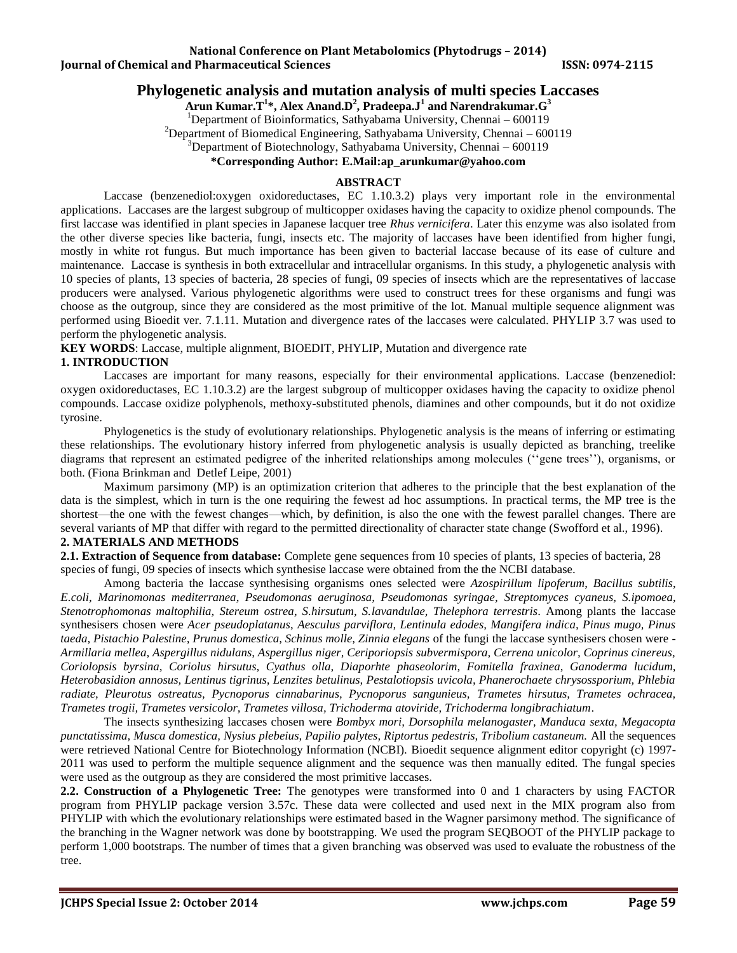#### **National Conference on Plant Metabolomics (Phytodrugs – 2014) Iournal of Chemical and Pharmaceutical Sciences ISSN: 0974-2115**

# **Phylogenetic analysis and mutation analysis of multi species Laccases**

**Arun Kumar.T<sup>1</sup> \*, Alex Anand.D<sup>2</sup> , Pradeepa.J<sup>1</sup> and Narendrakumar.G<sup>3</sup>**

<sup>1</sup>Department of Bioinformatics, Sathyabama University, Chennai – 600119

<sup>2</sup>Department of Biomedical Engineering, Sathyabama University, Chennai – 600119

 $3$ Department of Biotechnology, Sathyabama University, Chennai – 600119

**\*Corresponding Author: E.Mail[:ap\\_arunkumar@yahoo.com](mailto:ap_arunkumar@yahoo.com)**

## **ABSTRACT**

Laccase (benzenediol:oxygen oxidoreductases, EC 1.10.3.2) plays very important role in the environmental applications. Laccases are the largest subgroup of multicopper oxidases having the capacity to oxidize phenol compounds. The first laccase was identified in plant species in Japanese lacquer tree *Rhus vernicifera*. Later this enzyme was also isolated from the other diverse species like bacteria, fungi, insects etc. The majority of laccases have been identified from higher fungi, mostly in white rot fungus. But much importance has been given to bacterial laccase because of its ease of culture and maintenance. Laccase is synthesis in both extracellular and intracellular organisms. In this study, a phylogenetic analysis with 10 species of plants, 13 species of bacteria, 28 species of fungi, 09 species of insects which are the representatives of laccase producers were analysed. Various phylogenetic algorithms were used to construct trees for these organisms and fungi was choose as the outgroup, since they are considered as the most primitive of the lot. Manual multiple sequence alignment was performed using Bioedit ver. 7.1.11. Mutation and divergence rates of the laccases were calculated. PHYLIP 3.7 was used to perform the phylogenetic analysis.

**KEY WORDS**: Laccase, multiple alignment, BIOEDIT, PHYLIP, Mutation and divergence rate

## **1. INTRODUCTION**

Laccases are important for many reasons, especially for their environmental applications. Laccase (benzenediol: oxygen oxidoreductases, EC 1.10.3.2) are the largest subgroup of multicopper oxidases having the capacity to oxidize phenol compounds. Laccase oxidize polyphenols, methoxy-substituted phenols, diamines and other compounds, but it do not oxidize tyrosine.

Phylogenetics is the study of evolutionary relationships. Phylogenetic analysis is the means of inferring or estimating these relationships. The evolutionary history inferred from phylogenetic analysis is usually depicted as branching, treelike diagrams that represent an estimated pedigree of the inherited relationships among molecules (''gene trees''), organisms, or both. (Fiona Brinkman and Detlef Leipe, 2001)

Maximum parsimony (MP) is an optimization criterion that adheres to the principle that the best explanation of the data is the simplest, which in turn is the one requiring the fewest ad hoc assumptions. In practical terms, the MP tree is the shortest—the one with the fewest changes—which, by definition, is also the one with the fewest parallel changes. There are several variants of MP that differ with regard to the permitted directionality of character state change (Swofford et al., 1996).

## **2. MATERIALS AND METHODS**

**2.1. Extraction of Sequence from database:** Complete gene sequences from 10 species of plants, 13 species of bacteria, 28 species of fungi, 09 species of insects which synthesise laccase were obtained from the the NCBI database.

Among bacteria the laccase synthesising organisms ones selected were *Azospirillum lipoferum*, *Bacillus subtilis*, *E.coli, Marinomonas mediterranea, Pseudomonas aeruginosa, Pseudomonas syringae, [Streptomyces](http://en.wikipedia.org/wiki/Streptomyces_cyaneus) cyaneus, S.ipomoea, Stenotrophomonas maltophilia, Stereum ostrea, S.hirsutum, S.lavandulae, Thelephora terrestris*. Among plants the laccase synthesisers chosen were *Acer pseudoplatanus*, *Aesculus parviflora, Lentinula edodes, Mangifera indica, Pinus mugo, Pinus taeda, Pistachio Palestine, Prunus domestica, Schinus molle, Zinnia elegans* of the fungi the laccase synthesisers chosen were *- Armillaria mellea, Aspergillus nidulans, Aspergillus niger, Ceriporiopsis subvermispora, Cerrena unicolor, Coprinus cinereus, Coriolopsis byrsina, Coriolus hirsutus, Cyathus olla, Diaporhte phaseolorim, Fomitella fraxinea, Ganoderma lucidum, Heterobasidion annosus, Lentinus tigrinus, Lenzites betulinus, Pestalotiopsis uvicola, Phanerochaete chrysossporium, Phlebia radiate, Pleurotus ostreatus, Pycnoporus cinnabarinus, Pycnoporus sangunieus, Trametes hirsutus, Trametes ochracea, Trametes trogii, Trametes versicolor, Trametes villosa, Trichoderma atoviride, Trichoderma longibrachiatum*.

The insects synthesizing laccases chosen were *Bombyx mori, Dorsophila melanogaster, Manduca sexta, Megacopta punctatissima, Musca domestica, Nysius plebeius, Papilio palytes, Riptortus pedestris, Tribolium castaneum.* All the sequences were retrieved National Centre for Biotechnology Information (NCBI). Bioedit sequence alignment editor copyright (c) 1997- 2011 was used to perform the multiple sequence alignment and the sequence was then manually edited. The fungal species were used as the outgroup as they are considered the most primitive laccases.

**2.2. Construction of a Phylogenetic Tree:** The genotypes were transformed into 0 and 1 characters by using FACTOR program from PHYLIP package version 3.57c. These data were collected and used next in the MIX program also from PHYLIP with which the evolutionary relationships were estimated based in the Wagner parsimony method. The significance of the branching in the Wagner network was done by bootstrapping. We used the program SEQBOOT of the PHYLIP package to perform 1,000 bootstraps. The number of times that a given branching was observed was used to evaluate the robustness of the tree.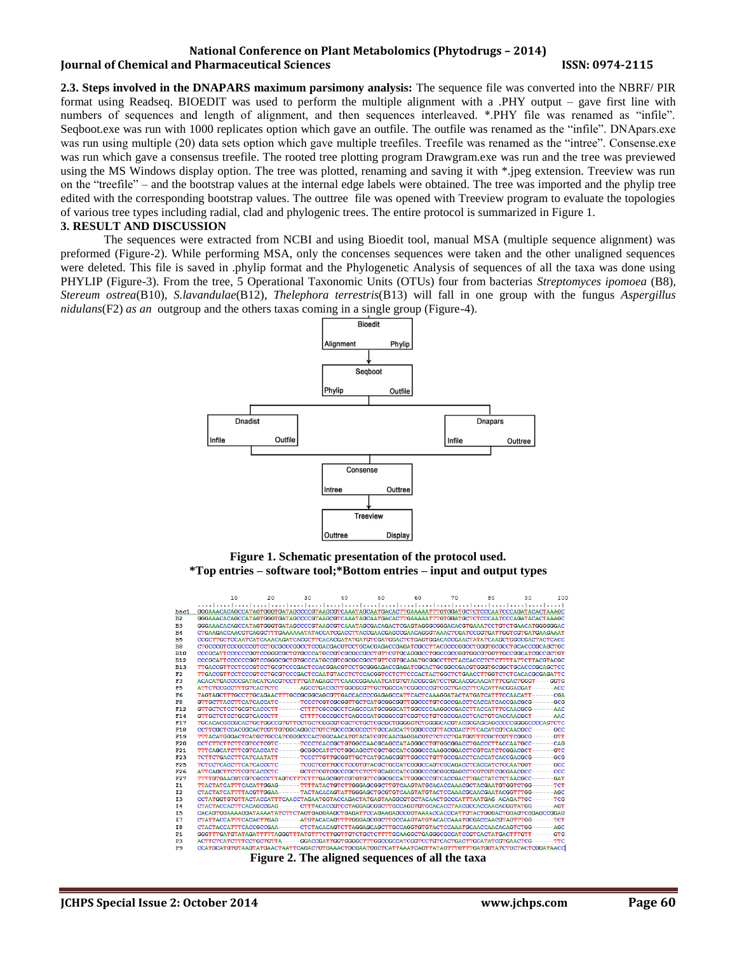## **National Conference on Plant Metabolomics (Phytodrugs – 2014) Iournal of Chemical and Pharmaceutical Sciences ISSN: 0974-2115**

**2.3. Steps involved in the DNAPARS maximum parsimony analysis:** The sequence file was converted into the NBRF/ PIR format using Readseq. BIOEDIT was used to perform the multiple alignment with a .PHY output – gave first line with numbers of sequences and length of alignment, and then sequences interleaved. \*.PHY file was renamed as "infile". Seqboot.exe was run with 1000 replicates option which gave an outfile. The outfile was renamed as the "infile". DNApars.exe was run using multiple (20) data sets option which gave multiple treefiles. Treefile was renamed as the "intree". Consense.exe was run which gave a consensus treefile. The rooted tree plotting program Drawgram.exe was run and the tree was previewed using the MS Windows display option. The tree was plotted, renaming and saving it with \*.jpeg extension. Treeview was run on the "treefile" – and the bootstrap values at the internal edge labels were obtained. The tree was imported and the phylip tree edited with the corresponding bootstrap values. The outtree file was opened with Treeview program to evaluate the topologies of various tree types including radial, clad and phylogenic trees. The entire protocol is summarized in Figure 1.

#### **3. RESULT AND DISCUSSION**

The sequences were extracted from NCBI and using Bioedit tool, manual MSA (multiple sequence alignment) was preformed (Figure-2). While performing MSA, only the concenses sequences were taken and the other unaligned sequences were deleted. This file is saved in .phylip format and the Phylogenetic Analysis of sequences of all the taxa was done using PHYLIP (Figure-3). From the tree, 5 Operational Taxonomic Units (OTUs) four from bacterias *[Streptomyces](http://en.wikipedia.org/wiki/Streptomyces_cyaneus) ipomoea* (B8)*, Stereum ostrea*(B10)*, S.lavandulae*(B12)*, Thelephora terrestris*(B13) will fall in one group with the fungus *Aspergillus nidulans*(F2) *as an* outgroup and the others taxas coming in a single group (Figure-4).



**Figure 1. Schematic presentation of the protocol used. \*Top entries – software tool;\*Bottom entries – input and output types**



**Figure 2. The aligned sequences of all the taxa**